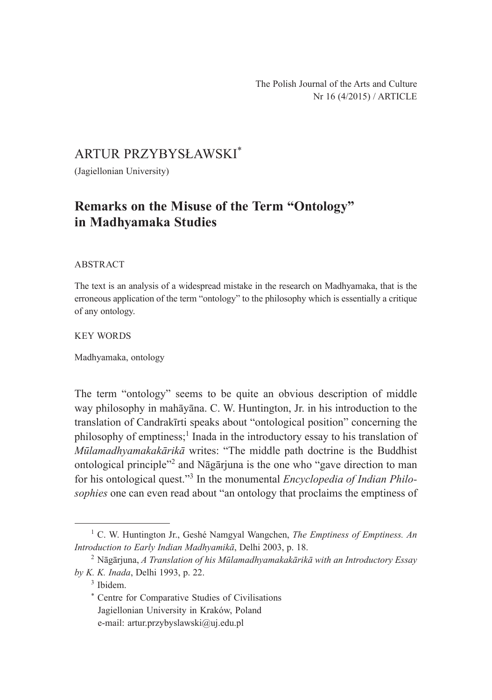## ARTUR PRZYBYSŁAWSKI\*

(Jagiellonian University)

# **Remarks on the Misuse of the Term "Ontology" in Madhyamaka Studies**

### ABSTRACT

The text is an analysis of a widespread mistake in the research on Madhyamaka, that is the erroneous application of the term "ontology" to the philosophy which is essentially a critique of any ontology.

### KEY WORDS

Madhyamaka, ontology

The term "ontology" seems to be quite an obvious description of middle way philosophy in mahāyāna. C. W. Huntington, Jr. in his introduction to the translation of Candrakīrti speaks about "ontological position" concerning the philosophy of emptiness;<sup>1</sup> Inada in the introductory essay to his translation of *Mūlamadhyamakakārikā* writes: "The middle path doctrine is the Buddhist ontological principle"2 and Nāgārjuna is the one who "gave direction to man for his ontological quest."<sup>3</sup> In the monumental *Encyclopedia of Indian Philosophies* one can even read about "an ontology that proclaims the emptiness of

<sup>3</sup> Ibidem.

<sup>1</sup> C. W. Huntington Jr., Geshé Namgyal Wangchen, *The Emptiness of Emptiness. An Introduction to Early Indian Madhyamikā*, Delhi 2003, p. 18.

<sup>2</sup> Nāgārjuna, *A Translation of his Mūlamadhyamakakārikā with an Introductory Essay by K. K. Inada*, Delhi 1993, p. 22.

<sup>\*</sup> Centre for Comparative Studies of Civilisations Jagiellonian University in Kraków, Poland e-mail: artur.przybyslawski@uj.edu.pl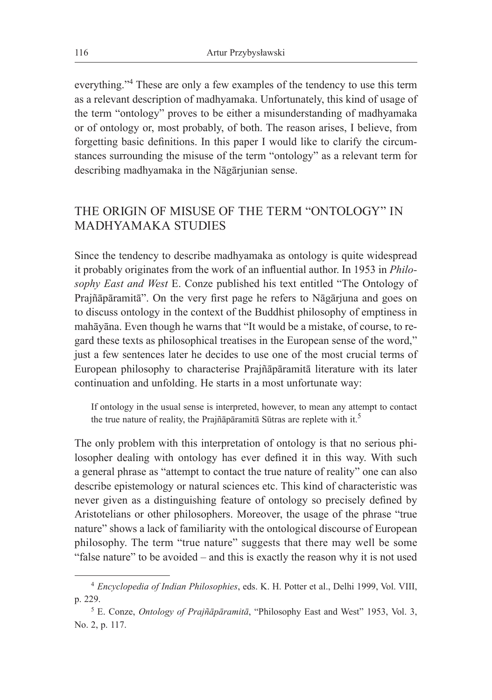everything."4 These are only a few examples of the tendency to use this term as a relevant description of madhyamaka. Unfortunately, this kind of usage of the term "ontology" proves to be either a misunderstanding of madhyamaka or of ontology or, most probably, of both. The reason arises, I believe, from forgetting basic definitions. In this paper I would like to clarify the circumstances surrounding the misuse of the term "ontology" as a relevant term for describing madhyamaka in the Nāgārjunian sense.

## THE ORIGIN OF MISUSE OF THE TERM "ONTOLOGY" IN MADHYAMAKA STUDIES

Since the tendency to describe madhyamaka as ontology is quite widespread it probably originates from the work of an influential author. In 1953 in *Philosophy East and West* E. Conze published his text entitled "The Ontology of Prajñāpāramitā". On the very first page he refers to Nāgārjuna and goes on to discuss ontology in the context of the Buddhist philosophy of emptiness in mahāyāna. Even though he warns that "It would be a mistake, of course, to regard these texts as philosophical treatises in the European sense of the word," just a few sentences later he decides to use one of the most crucial terms of European philosophy to characterise Prajñāpāramitā literature with its later continuation and unfolding. He starts in a most unfortunate way:

If ontology in the usual sense is interpreted, however, to mean any attempt to contact the true nature of reality, the Prajñāpāramitā Sūtras are replete with it.<sup>5</sup>

The only problem with this interpretation of ontology is that no serious philosopher dealing with ontology has ever defined it in this way. With such a general phrase as "attempt to contact the true nature of reality" one can also describe epistemology or natural sciences etc. This kind of characteristic was never given as a distinguishing feature of ontology so precisely defined by Aristotelians or other philosophers. Moreover, the usage of the phrase "true nature" shows a lack of familiarity with the ontological discourse of European philosophy. The term "true nature" suggests that there may well be some "false nature" to be avoided – and this is exactly the reason why it is not used

<sup>4</sup> *Encyclopedia of Indian Philosophies*, eds. K. H. Potter et al., Delhi 1999, Vol. VIII, p. 229.

<sup>5</sup> E. Conze, *Ontology of Prajñāpāramitā*, "Philosophy East and West" 1953, Vol. 3, No. 2, p. 117.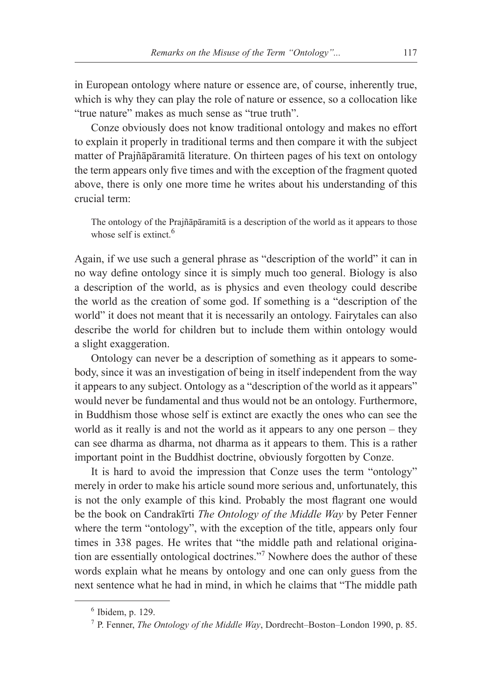in European ontology where nature or essence are, of course, inherently true, which is why they can play the role of nature or essence, so a collocation like "true nature" makes as much sense as "true truth".

Conze obviously does not know traditional ontology and makes no effort to explain it properly in traditional terms and then compare it with the subject matter of Prajñāpāramitā literature. On thirteen pages of his text on ontology the term appears only five times and with the exception of the fragment quoted above, there is only one more time he writes about his understanding of this crucial term:

The ontology of the Prajñāpāramitā is a description of the world as it appears to those whose self is extinct. $6$ 

Again, if we use such a general phrase as "description of the world" it can in no way define ontology since it is simply much too general. Biology is also a description of the world, as is physics and even theology could describe the world as the creation of some god. If something is a "description of the world" it does not meant that it is necessarily an ontology. Fairytales can also describe the world for children but to include them within ontology would a slight exaggeration.

Ontology can never be a description of something as it appears to somebody, since it was an investigation of being in itself independent from the way it appears to any subject. Ontology as a "description of the world as it appears" would never be fundamental and thus would not be an ontology. Furthermore, in Buddhism those whose self is extinct are exactly the ones who can see the world as it really is and not the world as it appears to any one person – they can see dharma as dharma, not dharma as it appears to them. This is a rather important point in the Buddhist doctrine, obviously forgotten by Conze.

It is hard to avoid the impression that Conze uses the term "ontology" merely in order to make his article sound more serious and, unfortunately, this is not the only example of this kind. Probably the most flagrant one would be the book on Candrakīrti *The Ontology of the Middle Way* by Peter Fenner where the term "ontology", with the exception of the title, appears only four times in 338 pages. He writes that "the middle path and relational origination are essentially ontological doctrines."7 Nowhere does the author of these words explain what he means by ontology and one can only guess from the next sentence what he had in mind, in which he claims that "The middle path

 $6$  Ibidem, p. 129.

<sup>7</sup> P. Fenner, *The Ontology of the Middle Way*, Dordrecht–Boston–London 1990, p. 85.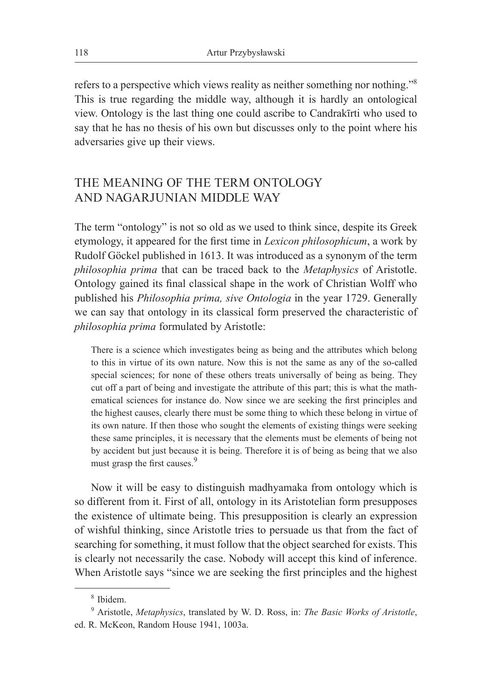refers to a perspective which views reality as neither something nor nothing."<sup>8</sup> This is true regarding the middle way, although it is hardly an ontological view. Ontology is the last thing one could ascribe to Candrakīrti who used to say that he has no thesis of his own but discusses only to the point where his adversaries give up their views.

## THE MEANING OF THE TERM ONTOLOGY AND NAGARJUNIAN MIDDLE WAY

The term "ontology" is not so old as we used to think since, despite its Greek etymology, it appeared for the first time in *Lexicon philosophicum*, a work by Rudolf Göckel published in 1613. It was introduced as a synonym of the term *philosophia prima* that can be traced back to the *Metaphysics* of Aristotle. Ontology gained its final classical shape in the work of Christian Wolff who published his *Philosophia prima, sive Ontologia* in the year 1729. Generally we can say that ontology in its classical form preserved the characteristic of *philosophia prima* formulated by Aristotle:

There is a science which investigates being as being and the attributes which belong to this in virtue of its own nature. Now this is not the same as any of the so-called special sciences; for none of these others treats universally of being as being. They cut off a part of being and investigate the attribute of this part; this is what the mathematical sciences for instance do. Now since we are seeking the first principles and the highest causes, clearly there must be some thing to which these belong in virtue of its own nature. If then those who sought the elements of existing things were seeking these same principles, it is necessary that the elements must be elements of being not by accident but just because it is being. Therefore it is of being as being that we also must grasp the first causes.<sup>9</sup>

Now it will be easy to distinguish madhyamaka from ontology which is so different from it. First of all, ontology in its Aristotelian form presupposes the existence of ultimate being. This presupposition is clearly an expression of wishful thinking, since Aristotle tries to persuade us that from the fact of searching for something, it must follow that the object searched for exists. This is clearly not necessarily the case. Nobody will accept this kind of inference. When Aristotle says "since we are seeking the first principles and the highest

<sup>8</sup> Ibidem.

<sup>9</sup> Aristotle, *Metaphysics*, translated by W. D. Ross, in: *The Basic Works of Aristotle*, ed. R. McKeon, Random House 1941, 1003a.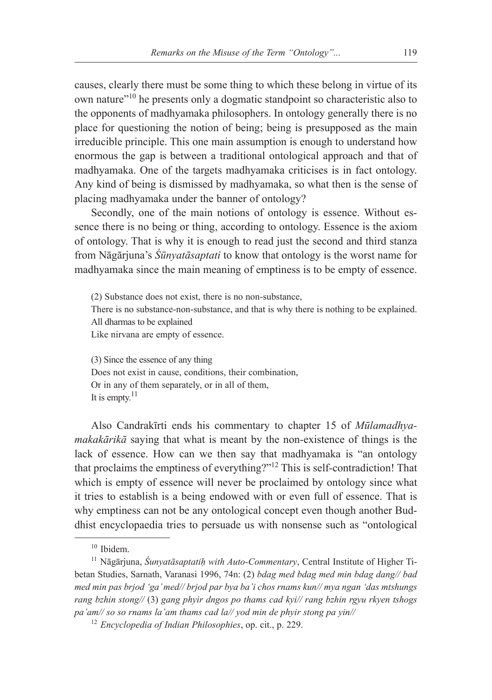causes, clearly there must be some thing to which these belong in virtue of its own nature"10 he presents only a dogmatic standpoint so characteristic also to the opponents of madhyamaka philosophers. In ontology generally there is no place for questioning the notion of being; being is presupposed as the main irreducible principle. This one main assumption is enough to understand how enormous the gap is between a traditional ontological approach and that of madhyamaka. One of the targets madhyamaka criticises is in fact ontology. Any kind of being is dismissed by madhyamaka, so what then is the sense of placing madhyamaka under the banner of ontology?

Secondly, one of the main notions of ontology is essence. Without essence there is no being or thing, according to ontology. Essence is the axiom of ontology. That is why it is enough to read just the second and third stanza from Nāgārjuna's *Śūnyatāsaptati* to know that ontology is the worst name for madhyamaka since the main meaning of emptiness is to be empty of essence.

(2) Substance does not exist, there is no non-substance, There is no substance-non-substance, and that is why there is nothing to be explained. All dharmas to be explained Like nirvana are empty of essence.

(3) Since the essence of any thing Does not exist in cause, conditions, their combination, Or in any of them separately, or in all of them, It is empty. $11$ 

Also Candrakīrti ends his commentary to chapter 15 of *Mūlamadhyamakakārikā* saying that what is meant by the non-existence of things is the lack of essence. How can we then say that madhyamaka is "an ontology that proclaims the emptiness of everything?"12 This is self-contradiction! That which is empty of essence will never be proclaimed by ontology since what it tries to establish is a being endowed with or even full of essence. That is why emptiness can not be any ontological concept even though another Buddhist encyclopaedia tries to persuade us with nonsense such as "ontological

<sup>10</sup> Ibidem.

<sup>11</sup> Nāgārjuna, *Śunyatāsaptatiḥ with Auto-Commentary*, Central Institute of Higher Tibetan Studies, Sarnath, Varanasi 1996, 74n: (2) *bdag med bdag med min bdag dang// bad med min pas brjod 'ga' med// brjod par bya ba'i chos rnams kun// mya ngan 'das mtshungs rang bzhin stong//* (3) *gang phyir dngos po thams cad kyi// rang bzhin rgyu rkyen tshogs pa'am// so so rnams la'am thams cad la// yod min de phyir stong pa yin//*

<sup>12</sup> *Encyclopedia of Indian Philosophies*, op. cit., p. 229.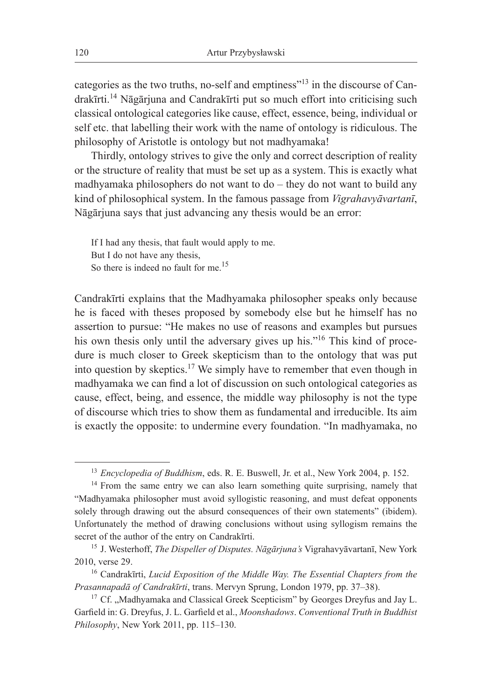categories as the two truths, no-self and emptiness"<sup>13</sup> in the discourse of Candrakīrti.<sup>14</sup> Nāgārjuna and Candrakīrti put so much effort into criticising such classical ontological categories like cause, effect, essence, being, individual or self etc. that labelling their work with the name of ontology is ridiculous. The philosophy of Aristotle is ontology but not madhyamaka!

Thirdly, ontology strives to give the only and correct description of reality or the structure of reality that must be set up as a system. This is exactly what madhyamaka philosophers do not want to do – they do not want to build any kind of philosophical system. In the famous passage from *Vigrahavyāvartanī*, Nāgārjuna says that just advancing any thesis would be an error:

If I had any thesis, that fault would apply to me. But I do not have any thesis, So there is indeed no fault for me.<sup>15</sup>

Candrakīrti explains that the Madhyamaka philosopher speaks only because he is faced with theses proposed by somebody else but he himself has no assertion to pursue: "He makes no use of reasons and examples but pursues his own thesis only until the adversary gives up his."<sup>16</sup> This kind of procedure is much closer to Greek skepticism than to the ontology that was put into question by skeptics.17 We simply have to remember that even though in madhyamaka we can find a lot of discussion on such ontological categories as cause, effect, being, and essence, the middle way philosophy is not the type of discourse which tries to show them as fundamental and irreducible. Its aim is exactly the opposite: to undermine every foundation. "In madhyamaka, no

<sup>&</sup>lt;sup>13</sup> *Encyclopedia of Buddhism*, eds. R. E. Buswell, Jr. et al., New York 2004, p. 152.

 $14$  From the same entry we can also learn something quite surprising, namely that "Madhyamaka philosopher must avoid syllogistic reasoning, and must defeat opponents solely through drawing out the absurd consequences of their own statements" (ibidem). Unfortunately the method of drawing conclusions without using syllogism remains the secret of the author of the entry on Candrakīrti.

<sup>15</sup> J. Westerhoff, *The Dispeller of Disputes. Nāgārjuna's* Vigrahavyāvartanī, New York 2010, verse 29.

<sup>16</sup> Candrakīrti, *Lucid Exposition of the Middle Way. The Essential Chapters from the Prasannapadā of Candrakīrti*, trans. Mervyn Sprung, London 1979, pp. 37–38).

 $17$  Cf. "Madhyamaka and Classical Greek Scepticism" by Georges Dreyfus and Jay L. Garfield in: G. Dreyfus, J. L. Garfield et al., *Moonshadows*. *Conventional Truth in Buddhist Philosophy*, New York 2011, pp. 115–130.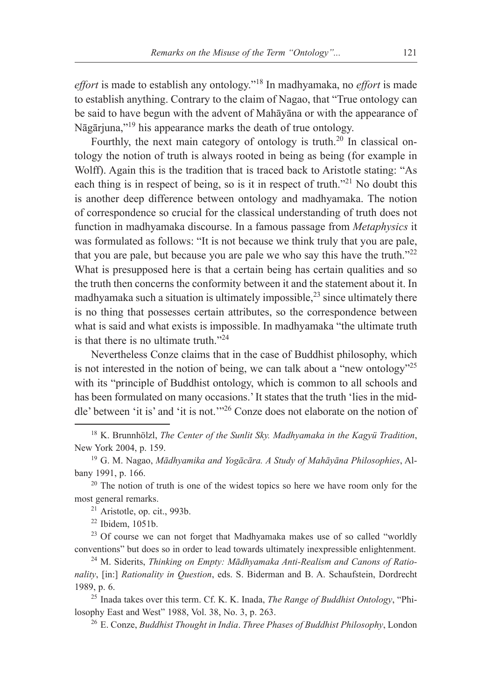*effort* is made to establish any ontology."<sup>18</sup> In madhyamaka, no *effort* is made to establish anything. Contrary to the claim of Nagao, that "True ontology can be said to have begun with the advent of Mahāyāna or with the appearance of Nāgārjuna,"19 his appearance marks the death of true ontology.

Fourthly, the next main category of ontology is truth.<sup>20</sup> In classical ontology the notion of truth is always rooted in being as being (for example in Wolff). Again this is the tradition that is traced back to Aristotle stating: "As each thing is in respect of being, so is it in respect of truth."<sup>21</sup> No doubt this is another deep difference between ontology and madhyamaka. The notion of correspondence so crucial for the classical understanding of truth does not function in madhyamaka discourse. In a famous passage from *Metaphysics* it was formulated as follows: "It is not because we think truly that you are pale, that you are pale, but because you are pale we who say this have the truth.<sup> $22$ </sup> What is presupposed here is that a certain being has certain qualities and so the truth then concerns the conformity between it and the statement about it. In madhyamaka such a situation is ultimately impossible,  $2<sup>3</sup>$  since ultimately there is no thing that possesses certain attributes, so the correspondence between what is said and what exists is impossible. In madhyamaka "the ultimate truth is that there is no ultimate truth."24

Nevertheless Conze claims that in the case of Buddhist philosophy, which is not interested in the notion of being, we can talk about a "new ontology"<sup>25</sup> with its "principle of Buddhist ontology, which is common to all schools and has been formulated on many occasions.' It states that the truth 'lies in the middle' between 'it is' and 'it is not.'"26 Conze does not elaborate on the notion of

<sup>18</sup> K. Brunnhölzl, *The Center of the Sunlit Sky. Madhyamaka in the Kagyü Tradition*, New York 2004, p. 159.

<sup>19</sup> G. M. Nagao, *Mādhyamika and Yogācāra. A Study of Mahāyāna Philosophies*, Albany 1991, p. 166.

 $20$  The notion of truth is one of the widest topics so here we have room only for the most general remarks. 21 Aristotle, op. cit., 993b.

 $22$  Ibidem, 1051b.

 $23$  Of course we can not forget that Madhyamaka makes use of so called "worldly" conventions" but does so in order to lead towards ultimately inexpressible enlightenment.

<sup>24</sup> M. Siderits, *Thinking on Empty: Mādhyamaka Anti-Realism and Canons of Rationality*, [in:] *Rationality in Question*, eds. S. Biderman and B. A. Schaufstein, Dordrecht 1989, p. 6.

<sup>25</sup> Inada takes over this term. Cf. K. K. Inada, *The Range of Buddhist Ontology*, "Philosophy East and West" 1988, Vol. 38, No. 3, p. 263.

<sup>26</sup> E. Conze, *Buddhist Thought in India*. *Three Phases of Buddhist Philosophy*, London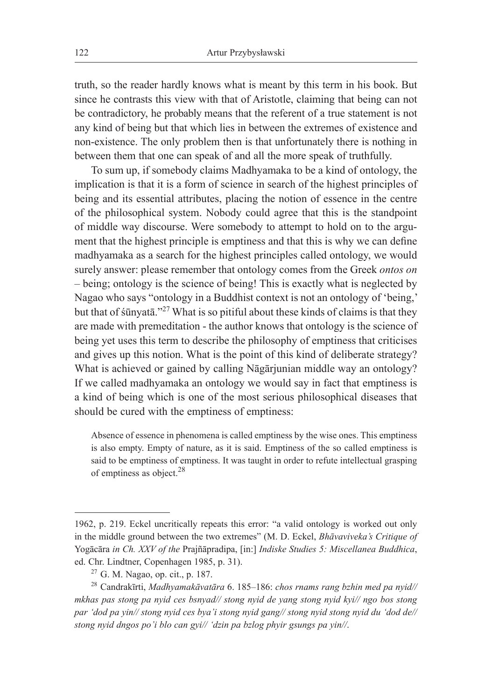truth, so the reader hardly knows what is meant by this term in his book. But since he contrasts this view with that of Aristotle, claiming that being can not be contradictory, he probably means that the referent of a true statement is not any kind of being but that which lies in between the extremes of existence and non-existence. The only problem then is that unfortunately there is nothing in between them that one can speak of and all the more speak of truthfully.

To sum up, if somebody claims Madhyamaka to be a kind of ontology, the implication is that it is a form of science in search of the highest principles of being and its essential attributes, placing the notion of essence in the centre of the philosophical system. Nobody could agree that this is the standpoint of middle way discourse. Were somebody to attempt to hold on to the argument that the highest principle is emptiness and that this is why we can define madhyamaka as a search for the highest principles called ontology, we would surely answer: please remember that ontology comes from the Greek *ontos on* – being; ontology is the science of being! This is exactly what is neglected by Nagao who says "ontology in a Buddhist context is not an ontology of 'being,' but that of śūnyatā."<sup>27</sup> What is so pitiful about these kinds of claims is that they are made with premeditation - the author knows that ontology is the science of being yet uses this term to describe the philosophy of emptiness that criticises and gives up this notion. What is the point of this kind of deliberate strategy? What is achieved or gained by calling Nāgārjunian middle way an ontology? If we called madhyamaka an ontology we would say in fact that emptiness is a kind of being which is one of the most serious philosophical diseases that should be cured with the emptiness of emptiness:

Absence of essence in phenomena is called emptiness by the wise ones. This emptiness is also empty. Empty of nature, as it is said. Emptiness of the so called emptiness is said to be emptiness of emptiness. It was taught in order to refute intellectual grasping of emptiness as object.28

<sup>1962,</sup> p. 219. Eckel uncritically repeats this error: "a valid ontology is worked out only in the middle ground between the two extremes" (M. D. Eckel, *Bhāvaviveka's Critique of*  Yogācāra *in Ch. XXV of the* Prajñāpradipa, [in:] *Indiske Studies 5: Miscellanea Buddhica*, ed. Chr. Lindtner, Copenhagen 1985, p. 31).

<sup>27</sup> G. M. Nagao, op. cit., p. 187.

<sup>28</sup> Candrakīrti, *Madhyamakāvatāra* 6. 185–186: *chos rnams rang bzhin med pa nyid// mkhas pas stong pa nyid ces bsnyad// stong nyid de yang stong nyid kyi// ngo bos stong par 'dod pa yin// stong nyid ces bya'i stong nyid gang// stong nyid stong nyid du 'dod de// stong nyid dngos po'i blo can gyi// 'dzin pa bzlog phyir gsungs pa yin//*.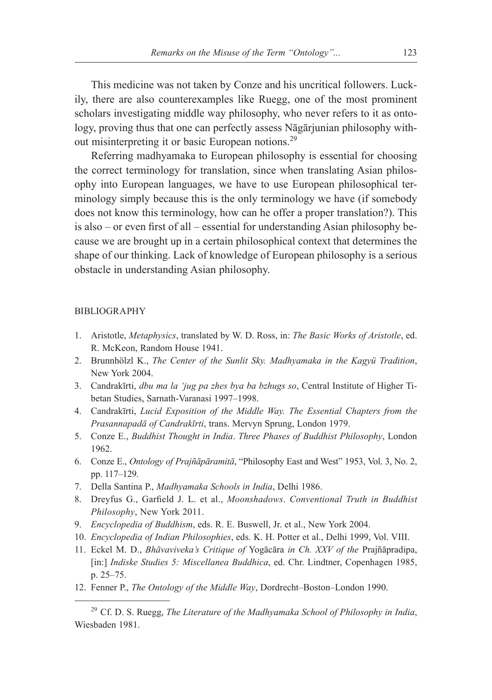This medicine was not taken by Conze and his uncritical followers. Luckily, there are also counterexamples like Ruegg, one of the most prominent scholars investigating middle way philosophy, who never refers to it as ontology, proving thus that one can perfectly assess Nāgārjunian philosophy without misinterpreting it or basic European notions.<sup>29</sup>

Referring madhyamaka to European philosophy is essential for choosing the correct terminology for translation, since when translating Asian philosophy into European languages, we have to use European philosophical terminology simply because this is the only terminology we have (if somebody does not know this terminology, how can he offer a proper translation?). This is also – or even first of all – essential for understanding Asian philosophy because we are brought up in a certain philosophical context that determines the shape of our thinking. Lack of knowledge of European philosophy is a serious obstacle in understanding Asian philosophy.

#### BIBLIOGRAPHY

- 1. Aristotle, *Metaphysics*, translated by W. D. Ross, in: *The Basic Works of Aristotle*, ed. R. McKeon, Random House 1941.
- 2. Brunnhölzl K., *The Center of the Sunlit Sky. Madhyamaka in the Kagyü Tradition*, New York 2004.
- 3. Candrakīrti, *dbu ma la 'jug pa zhes bya ba bzhugs so*, Central Institute of Higher Tibetan Studies, Sarnath-Varanasi 1997–1998.
- 4. Candrakīrti, *Lucid Exposition of the Middle Way. The Essential Chapters from the Prasannapadā of Candrakīrti*, trans. Mervyn Sprung, London 1979.
- 5. Conze E., *Buddhist Thought in India*. *Three Phases of Buddhist Philosophy*, London 1962.
- 6. Conze E., *Ontology of Prajñāpāramitā*, "Philosophy East and West" 1953, Vol. 3, No. 2, pp. 117–129.
- 7. Della Santina P., *Madhyamaka Schools in India*, Delhi 1986.
- 8. Dreyfus G., Garfield J. L. et al., *Moonshadows*. *Conventional Truth in Buddhist Philosophy*, New York 2011.
- 9. *Encyclopedia of Buddhism*, eds. R. E. Buswell, Jr. et al., New York 2004.
- 10. *Encyclopedia of Indian Philosophies*, eds. K. H. Potter et al., Delhi 1999, Vol. VIII.
- 11. Eckel M. D., *Bhāvaviveka's Critique of* Yogācāra *in Ch. XXV of the* Prajñāpradipa, [in:] *Indiske Studies 5: Miscellanea Buddhica*, ed. Chr. Lindtner, Copenhagen 1985, p. 25–75.
- 12. Fenner P., *The Ontology of the Middle Way*, Dordrecht–Boston–London 1990.

<sup>29</sup> Cf. D. S. Ruegg, *The Literature of the Madhyamaka School of Philosophy in India*, Wiesbaden 1981.